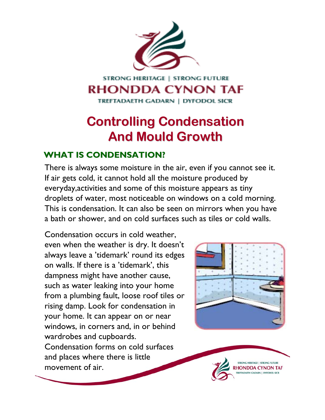

## **STRONG HERITAGE | STRONG FUTURE RHONDDA CYNON TAF**

TREFTADAETH GADARN | DYFODOL SICR

# **Controlling Condensation Controlling Condensation And Mould Growth And Mould Growth**

### **WHAT IS CONDENSATION? WHAT IS CONDENSATION?**

There is always some moisture in the air, even if you cannot see it. If air gets cold, it cannot hold all the moisture produced by everyday,activities and some of this moisture appears as tiny droplets of water, most noticeable on windows on a cold morning. This is condensation. It can also be seen on mirrors when you have a bath or shower, and on cold surfaces such as tiles or cold walls.

Condensation occurs in cold weather, even when the weather is dry. It doesn't always leave a 'tidemark' round its edges on walls. If there is a 'tidemark', this dampness might have another cause, such as water leaking into your home from a plumbing fault, loose roof tiles or rising damp. Look for condensation in your home. It can appear on or near windows, in corners and, in or behind wardrobes and cupboards. Condensation forms on cold surfaces and places where there is little movement of air.



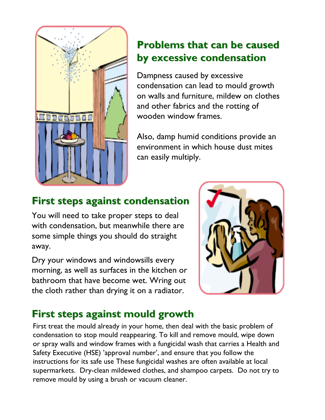

## **Problems that can be caused by excessive condensation by excessive condensation**

Dampness caused by excessive condensation can lead to mould growth on walls and furniture, mildew on clothes and other fabrics and the rotting of wooden window frames.

Also, damp humid conditions provide an environment in which house dust mites can easily multiply.

# **First steps against condensation First steps against condensation**

You will need to take proper steps to deal with condensation, but meanwhile there are some simple things you should do straight away.

Dry your windows and windowsills every morning, as well as surfaces in the kitchen or bathroom that have become wet. Wring out the cloth rather than drying it on a radiator.



# **First steps against mould growth First steps against mould growth**

First treat the mould already in your home, then deal with the basic problem of condensation to stop mould reappearing. To kill and remove mould, wipe down or spray walls and window frames with a fungicidal wash that carries a Health and Safety Executive (HSE) 'approval number', and ensure that you follow the instructions for its safe use These fungicidal washes are often available at local supermarkets. Dry-clean mildewed clothes, and shampoo carpets. Do not try to remove mould by using a brush or vacuum cleaner.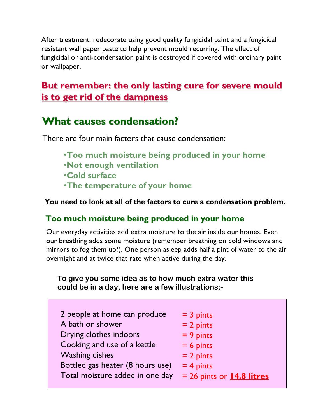After treatment, redecorate using good quality fungicidal paint and a fungicidal resistant wall paper paste to help prevent mould recurring. The effect of fungicidal or anti-condensation paint is destroyed if covered with ordinary paint or wallpaper.

### **But remember: the only lasting cure for severe mould is to get rid of the dampness is to get rid of the dampness**

### **What causes condensation? What causes condensation?**

There are four main factors that cause condensation:

- •**Too much moisture being produced in your home**
- •**Not enough ventilation**
- •**Cold surface**
- •**The temperature of your home**

#### **You need to look at all of the factors to cure a condensation problem.**

### Too much moisture being produced in your home

Our everyday activities add extra moisture to the air inside our homes. Even our breathing adds some moisture (remember breathing on cold windows and mirrors to fog them up?). One person asleep adds half a pint of water to the air overnight and at twice that rate when active during the day.

#### **To give you some idea as to how much extra water this could be in a day, here are a few illustrations:-**

| 2 people at home can produce     | $=$ 3 pints                   |
|----------------------------------|-------------------------------|
| A bath or shower                 | $= 2$ pints                   |
| Drying clothes indoors           | $= 9$ pints                   |
| Cooking and use of a kettle      | $= 6$ pints                   |
| <b>Washing dishes</b>            | $= 2$ pints                   |
| Bottled gas heater (8 hours use) | $= 4$ pints                   |
| Total moisture added in one day  | $= 26$ pints or $14.8$ litres |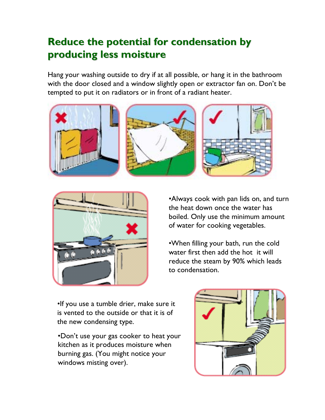## **Reduce the potential for condensation by Reduce the potential for condensation by producing less moisture producing less moisture**

Hang your washing outside to dry if at all possible, or hang it in the bathroom with the door closed and a window slightly open or extractor fan on. Don't be tempted to put it on radiators or in front of a radiant heater.





•Always cook with pan lids on, and turn the heat down once the water has boiled. Only use the minimum amount of water for cooking vegetables.

•When filling your bath, run the cold water first then add the hot it will reduce the steam by 90% which leads to condensation.

•If you use a tumble drier, make sure it is vented to the outside or that it is of the new condensing type.

•Don't use your gas cooker to heat your kitchen as it produces moisture when burning gas. (You might notice your windows misting over).

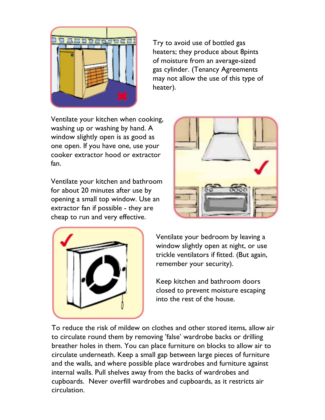

Try to avoid use of bottled gas heaters; they produce about 8pints of moisture from an average-sized gas cylinder. (Tenancy Agreements may not allow the use of this type of heater).

Ventilate your kitchen when cooking, washing up or washing by hand. A window slightly open is as good as one open. If you have one, use your cooker extractor hood or extractor fan.

Ventilate your kitchen and bathroom for about 20 minutes after use by opening a small top window. Use an extractor fan if possible - they are cheap to run and very effective.





Ventilate your bedroom by leaving a window slightly open at night, or use trickle ventilators if fitted. (But again, remember your security).

Keep kitchen and bathroom doors closed to prevent moisture escaping into the rest of the house.

To reduce the risk of mildew on clothes and other stored items, allow air to circulate round them by removing 'false' wardrobe backs or drilling breather holes in them. You can place furniture on blocks to allow air to circulate underneath. Keep a small gap between large pieces of furniture and the walls, and where possible place wardrobes and furniture against internal walls. Pull shelves away from the backs of wardrobes and cupboards. Never overfill wardrobes and cupboards, as it restricts air circulation.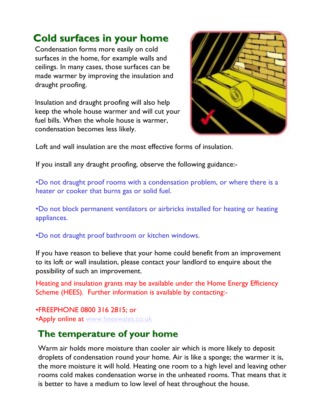### **Cold surfaces in your home Cold surfaces in your home**

Condensation forms more easily on cold surfaces in the home, for example walls and ceilings. In many cases, those surfaces can be made warmer by improving the insulation and draught proofing.

Insulation and draught proofing will also help keep the whole house warmer and will cut your fuel bills. When the whole house is warmer, condensation becomes less likely.



Loft and wall insulation are the most effective forms of insulation.

If you install any draught proofing, observe the following guidance:-

•Do not draught proof rooms with a condensation problem, or where there is a heater or cooker that burns gas or solid fuel.

•Do not block permanent ventilators or airbricks installed for heating or heating appliances.

•Do not draught proof bathroom or kitchen windows.

If you have reason to believe that your home could benefit from an improvement to its loft or wall insulation, please contact your landlord to enquire about the possibility of such an improvement.

Heating and insulation grants may be available under the Home Energy Efficiency Scheme (HEES). Further information is available by contacting:-

•FREEPHONE 0800 316 2815; or •Apply online at [www.heeswales.co.uk](http://www.heeswales.co.uk/)

### **The temperature of your home The temperature of your home**

Warm air holds more moisture than cooler air which is more likely to deposit droplets of condensation round your home. Air is like a sponge; the warmer it is, the more moisture it will hold. Heating one room to a high level and leaving other rooms cold makes condensation worse in the unheated rooms. That means that it is better to have a medium to low level of heat throughout the house.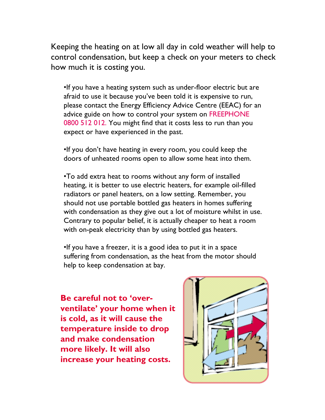Keeping the heating on at low all day in cold weather will help to control condensation, but keep a check on your meters to check how much it is costing you.

•If you have a heating system such as under-floor electric but are afraid to use it because you've been told it is expensive to run, please contact the Energy Efficiency Advice Centre (EEAC) for an advice guide on how to control your system on FREEPHONE 0800 512 012. You might find that it costs less to run than you expect or have experienced in the past.

•If you don't have heating in every room, you could keep the doors of unheated rooms open to allow some heat into them.

•To add extra heat to rooms without any form of installed heating, it is better to use electric heaters, for example oil-filled radiators or panel heaters, on a low setting. Remember, you should not use portable bottled gas heaters in homes suffering with condensation as they give out a lot of moisture whilst in use. Contrary to popular belief, it is actually cheaper to heat a room with on-peak electricity than by using bottled gas heaters.

•If you have a freezer, it is a good idea to put it in a space suffering from condensation, as the heat from the motor should help to keep condensation at bay.

**Be careful not to 'overventilate' your home when it is cold, as it will cause the temperature inside to drop and make condensation more likely. It will also increase your heating costs.**